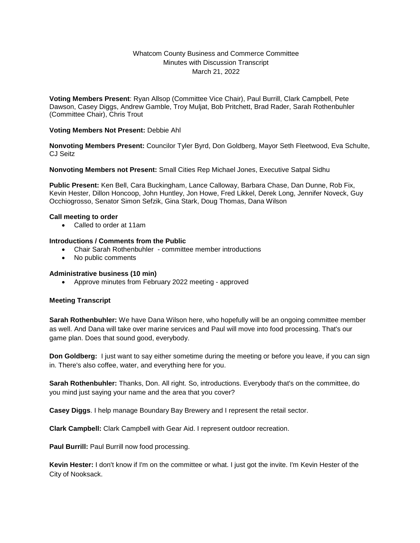# Whatcom County Business and Commerce Committee Minutes with Discussion Transcript March 21, 2022

**Voting Members Present**: Ryan Allsop (Committee Vice Chair), Paul Burrill, Clark Campbell, Pete Dawson, Casey Diggs, Andrew Gamble, Troy Muljat, Bob Pritchett, Brad Rader, Sarah Rothenbuhler (Committee Chair), Chris Trout

## **Voting Members Not Present:** Debbie Ahl

**Nonvoting Members Present:** Councilor Tyler Byrd, Don Goldberg, Mayor Seth Fleetwood, Eva Schulte, CJ Seitz

### **Nonvoting Members not Present:** Small Cities Rep Michael Jones, Executive Satpal Sidhu

**Public Present:** Ken Bell, Cara Buckingham, Lance Calloway, Barbara Chase, Dan Dunne, Rob Fix, Kevin Hester, Dillon Honcoop, John Huntley, Jon Howe, Fred Likkel, Derek Long, Jennifer Noveck, Guy Occhiogrosso, Senator Simon Sefzik, Gina Stark, Doug Thomas, Dana Wilson

#### **Call meeting to order**

Called to order at 11am

### **Introductions / Comments from the Public**

- Chair Sarah Rothenbuhler committee member introductions
- No public comments

#### **Administrative business (10 min)**

Approve minutes from February 2022 meeting - approved

## **Meeting Transcript**

**Sarah Rothenbuhler:** We have Dana Wilson here, who hopefully will be an ongoing committee member as well. And Dana will take over marine services and Paul will move into food processing. That's our game plan. Does that sound good, everybody.

**Don Goldberg:** I just want to say either sometime during the meeting or before you leave, if you can sign in. There's also coffee, water, and everything here for you.

**Sarah Rothenbuhler:** Thanks, Don. All right. So, introductions. Everybody that's on the committee, do you mind just saying your name and the area that you cover?

**Casey Diggs**. I help manage Boundary Bay Brewery and I represent the retail sector.

**Clark Campbell:** Clark Campbell with Gear Aid. I represent outdoor recreation.

**Paul Burrill: Paul Burrill now food processing.** 

**Kevin Hester:** I don't know if I'm on the committee or what. I just got the invite. I'm Kevin Hester of the City of Nooksack.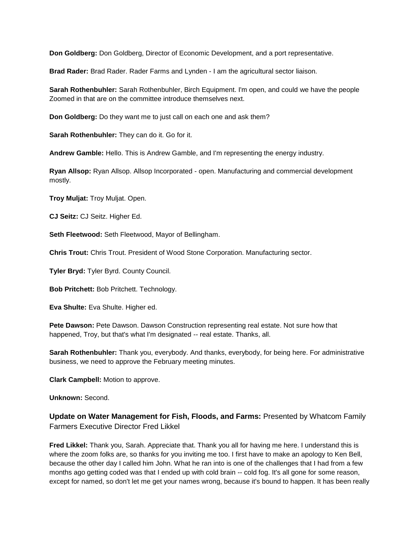**Don Goldberg:** Don Goldberg, Director of Economic Development, and a port representative.

**Brad Rader:** Brad Rader. Rader Farms and Lynden - I am the agricultural sector liaison.

**Sarah Rothenbuhler:** Sarah Rothenbuhler, Birch Equipment. I'm open, and could we have the people Zoomed in that are on the committee introduce themselves next.

**Don Goldberg:** Do they want me to just call on each one and ask them?

**Sarah Rothenbuhler:** They can do it. Go for it.

**Andrew Gamble:** Hello. This is Andrew Gamble, and I'm representing the energy industry.

**Ryan Allsop:** Ryan Allsop. Allsop Incorporated - open. Manufacturing and commercial development mostly.

**Troy Muljat:** Troy Muljat. Open.

**CJ Seitz:** CJ Seitz. Higher Ed.

**Seth Fleetwood:** Seth Fleetwood, Mayor of Bellingham.

**Chris Trout:** Chris Trout. President of Wood Stone Corporation. Manufacturing sector.

**Tyler Bryd:** Tyler Byrd. County Council.

**Bob Pritchett:** Bob Pritchett. Technology.

**Eva Shulte:** Eva Shulte. Higher ed.

**Pete Dawson:** Pete Dawson. Dawson Construction representing real estate. Not sure how that happened, Troy, but that's what I'm designated -- real estate. Thanks, all.

**Sarah Rothenbuhler:** Thank you, everybody. And thanks, everybody, for being here. For administrative business, we need to approve the February meeting minutes.

**Clark Campbell:** Motion to approve.

**Unknown:** Second.

**Update on Water Management for Fish, Floods, and Farms:** Presented by Whatcom Family Farmers Executive Director Fred Likkel

**Fred Likkel:** Thank you, Sarah. Appreciate that. Thank you all for having me here. I understand this is where the zoom folks are, so thanks for you inviting me too. I first have to make an apology to Ken Bell, because the other day I called him John. What he ran into is one of the challenges that I had from a few months ago getting coded was that I ended up with cold brain -- cold fog. It's all gone for some reason, except for named, so don't let me get your names wrong, because it's bound to happen. It has been really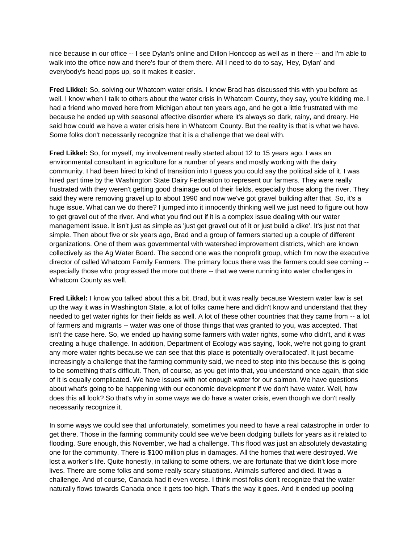nice because in our office -- I see Dylan's online and Dillon Honcoop as well as in there -- and I'm able to walk into the office now and there's four of them there. All I need to do to say, 'Hey, Dylan' and everybody's head pops up, so it makes it easier.

**Fred Likkel:** So, solving our Whatcom water crisis. I know Brad has discussed this with you before as well. I know when I talk to others about the water crisis in Whatcom County, they say, you're kidding me. I had a friend who moved here from Michigan about ten years ago, and he got a little frustrated with me because he ended up with seasonal affective disorder where it's always so dark, rainy, and dreary. He said how could we have a water crisis here in Whatcom County. But the reality is that is what we have. Some folks don't necessarily recognize that it is a challenge that we deal with.

**Fred Likkel:** So, for myself, my involvement really started about 12 to 15 years ago. I was an environmental consultant in agriculture for a number of years and mostly working with the dairy community. I had been hired to kind of transition into I guess you could say the political side of it. I was hired part time by the Washington State Dairy Federation to represent our farmers. They were really frustrated with they weren't getting good drainage out of their fields, especially those along the river. They said they were removing gravel up to about 1990 and now we've got gravel building after that. So, it's a huge issue. What can we do there? I jumped into it innocently thinking well we just need to figure out how to get gravel out of the river. And what you find out if it is a complex issue dealing with our water management issue. It isn't just as simple as 'just get gravel out of it or just build a dike'. It's just not that simple. Then about five or six years ago, Brad and a group of farmers started up a couple of different organizations. One of them was governmental with watershed improvement districts, which are known collectively as the Ag Water Board. The second one was the nonprofit group, which I'm now the executive director of called Whatcom Family Farmers. The primary focus there was the farmers could see coming - especially those who progressed the more out there -- that we were running into water challenges in Whatcom County as well.

**Fred Likkel:** I know you talked about this a bit, Brad, but it was really because Western water law is set up the way it was in Washington State, a lot of folks came here and didn't know and understand that they needed to get water rights for their fields as well. A lot of these other countries that they came from -- a lot of farmers and migrants -- water was one of those things that was granted to you, was accepted. That isn't the case here. So, we ended up having some farmers with water rights, some who didn't, and it was creating a huge challenge. In addition, Department of Ecology was saying, 'look, we're not going to grant any more water rights because we can see that this place is potentially overallocated'. It just became increasingly a challenge that the farming community said, we need to step into this because this is going to be something that's difficult. Then, of course, as you get into that, you understand once again, that side of it is equally complicated. We have issues with not enough water for our salmon. We have questions about what's going to be happening with our economic development if we don't have water. Well, how does this all look? So that's why in some ways we do have a water crisis, even though we don't really necessarily recognize it.

In some ways we could see that unfortunately, sometimes you need to have a real catastrophe in order to get there. Those in the farming community could see we've been dodging bullets for years as it related to flooding. Sure enough, this November, we had a challenge. This flood was just an absolutely devastating one for the community. There is \$100 million plus in damages. All the homes that were destroyed. We lost a worker's life. Quite honestly, in talking to some others, we are fortunate that we didn't lose more lives. There are some folks and some really scary situations. Animals suffered and died. It was a challenge. And of course, Canada had it even worse. I think most folks don't recognize that the water naturally flows towards Canada once it gets too high. That's the way it goes. And it ended up pooling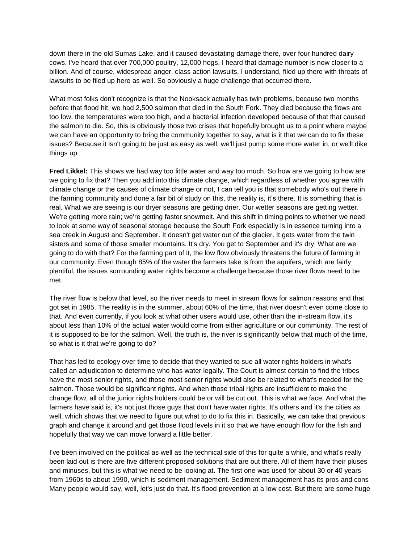down there in the old Sumas Lake, and it caused devastating damage there, over four hundred dairy cows. I've heard that over 700,000 poultry, 12,000 hogs. I heard that damage number is now closer to a billion. And of course, widespread anger, class action lawsuits, I understand, filed up there with threats of lawsuits to be filed up here as well. So obviously a huge challenge that occurred there.

What most folks don't recognize is that the Nooksack actually has twin problems, because two months before that flood hit, we had 2,500 salmon that died in the South Fork. They died because the flows are too low, the temperatures were too high, and a bacterial infection developed because of that that caused the salmon to die. So, this is obviously those two crises that hopefully brought us to a point where maybe we can have an opportunity to bring the community together to say, what is it that we can do to fix these issues? Because it isn't going to be just as easy as well, we'll just pump some more water in, or we'll dike things up.

**Fred Likkel:** This shows we had way too little water and way too much. So how are we going to how are we going to fix that? Then you add into this climate change, which regardless of whether you agree with climate change or the causes of climate change or not, I can tell you is that somebody who's out there in the farming community and done a fair bit of study on this, the reality is, it's there. It is something that is real. What we are seeing is our dryer seasons are getting drier. Our wetter seasons are getting wetter. We're getting more rain; we're getting faster snowmelt. And this shift in timing points to whether we need to look at some way of seasonal storage because the South Fork especially is in essence turning into a sea creek in August and September. It doesn't get water out of the glacier. It gets water from the twin sisters and some of those smaller mountains. It's dry. You get to September and it's dry. What are we going to do with that? For the farming part of it, the low flow obviously threatens the future of farming in our community. Even though 85% of the water the farmers take is from the aquifers, which are fairly plentiful, the issues surrounding water rights become a challenge because those river flows need to be met.

The river flow is below that level, so the river needs to meet in stream flows for salmon reasons and that got set in 1985. The reality is in the summer, about 60% of the time, that river doesn't even come close to that. And even currently, if you look at what other users would use, other than the in-stream flow, it's about less than 10% of the actual water would come from either agriculture or our community. The rest of it is supposed to be for the salmon. Well, the truth is, the river is significantly below that much of the time, so what is it that we're going to do?

That has led to ecology over time to decide that they wanted to sue all water rights holders in what's called an adjudication to determine who has water legally. The Court is almost certain to find the tribes have the most senior rights, and those most senior rights would also be related to what's needed for the salmon. Those would be significant rights. And when those tribal rights are insufficient to make the change flow, all of the junior rights holders could be or will be cut out. This is what we face. And what the farmers have said is, it's not just those guys that don't have water rights. It's others and it's the cities as well, which shows that we need to figure out what to do to fix this in. Basically, we can take that previous graph and change it around and get those flood levels in it so that we have enough flow for the fish and hopefully that way we can move forward a little better.

I've been involved on the political as well as the technical side of this for quite a while, and what's really been laid out is there are five different proposed solutions that are out there. All of them have their pluses and minuses, but this is what we need to be looking at. The first one was used for about 30 or 40 years from 1960s to about 1990, which is sediment management. Sediment management has its pros and cons Many people would say, well, let's just do that. It's flood prevention at a low cost. But there are some huge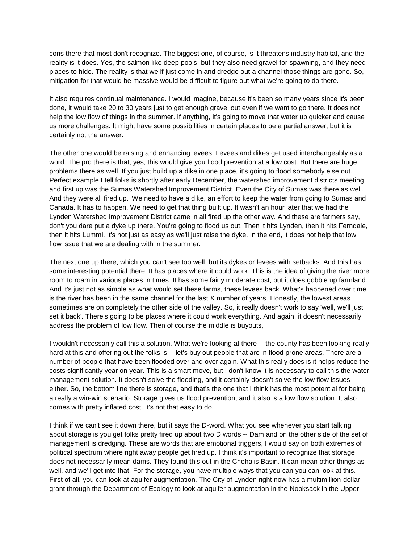cons there that most don't recognize. The biggest one, of course, is it threatens industry habitat, and the reality is it does. Yes, the salmon like deep pools, but they also need gravel for spawning, and they need places to hide. The reality is that we if just come in and dredge out a channel those things are gone. So, mitigation for that would be massive would be difficult to figure out what we're going to do there.

It also requires continual maintenance. I would imagine, because it's been so many years since it's been done, it would take 20 to 30 years just to get enough gravel out even if we want to go there. It does not help the low flow of things in the summer. If anything, it's going to move that water up quicker and cause us more challenges. It might have some possibilities in certain places to be a partial answer, but it is certainly not the answer.

The other one would be raising and enhancing levees. Levees and dikes get used interchangeably as a word. The pro there is that, yes, this would give you flood prevention at a low cost. But there are huge problems there as well. If you just build up a dike in one place, it's going to flood somebody else out. Perfect example I tell folks is shortly after early December, the watershed improvement districts meeting and first up was the Sumas Watershed Improvement District. Even the City of Sumas was there as well. And they were all fired up. 'We need to have a dike, an effort to keep the water from going to Sumas and Canada. It has to happen. We need to get that thing built up. It wasn't an hour later that we had the Lynden Watershed Improvement District came in all fired up the other way. And these are farmers say, don't you dare put a dyke up there. You're going to flood us out. Then it hits Lynden, then it hits Ferndale, then it hits Lummi. It's not just as easy as we'll just raise the dyke. In the end, it does not help that low flow issue that we are dealing with in the summer.

The next one up there, which you can't see too well, but its dykes or levees with setbacks. And this has some interesting potential there. It has places where it could work. This is the idea of giving the river more room to roam in various places in times. It has some fairly moderate cost, but it does gobble up farmland. And it's just not as simple as what would set these farms, these levees back. What's happened over time is the river has been in the same channel for the last X number of years. Honestly, the lowest areas sometimes are on completely the other side of the valley. So, it really doesn't work to say 'well, we'll just set it back'. There's going to be places where it could work everything. And again, it doesn't necessarily address the problem of low flow. Then of course the middle is buyouts,

I wouldn't necessarily call this a solution. What we're looking at there -- the county has been looking really hard at this and offering out the folks is -- let's buy out people that are in flood prone areas. There are a number of people that have been flooded over and over again. What this really does is it helps reduce the costs significantly year on year. This is a smart move, but I don't know it is necessary to call this the water management solution. It doesn't solve the flooding, and it certainly doesn't solve the low flow issues either. So, the bottom line there is storage, and that's the one that I think has the most potential for being a really a win-win scenario. Storage gives us flood prevention, and it also is a low flow solution. It also comes with pretty inflated cost. It's not that easy to do.

I think if we can't see it down there, but it says the D-word. What you see whenever you start talking about storage is you get folks pretty fired up about two D words -- Dam and on the other side of the set of management is dredging. These are words that are emotional triggers, I would say on both extremes of political spectrum where right away people get fired up. I think it's important to recognize that storage does not necessarily mean dams. They found this out in the Chehalis Basin. It can mean other things as well, and we'll get into that. For the storage, you have multiple ways that you can you can look at this. First of all, you can look at aquifer augmentation. The City of Lynden right now has a multimillion-dollar grant through the Department of Ecology to look at aquifer augmentation in the Nooksack in the Upper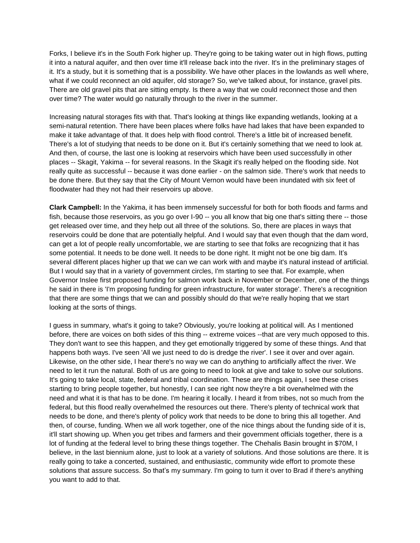Forks, I believe it's in the South Fork higher up. They're going to be taking water out in high flows, putting it into a natural aquifer, and then over time it'll release back into the river. It's in the preliminary stages of it. It's a study, but it is something that is a possibility. We have other places in the lowlands as well where, what if we could reconnect an old aquifer, old storage? So, we've talked about, for instance, gravel pits. There are old gravel pits that are sitting empty. Is there a way that we could reconnect those and then over time? The water would go naturally through to the river in the summer.

Increasing natural storages fits with that. That's looking at things like expanding wetlands, looking at a semi-natural retention. There have been places where folks have had lakes that have been expanded to make it take advantage of that. It does help with flood control. There's a little bit of increased benefit. There's a lot of studying that needs to be done on it. But it's certainly something that we need to look at. And then, of course, the last one is looking at reservoirs which have been used successfully in other places -- Skagit, Yakima -- for several reasons. In the Skagit it's really helped on the flooding side. Not really quite as successful -- because it was done earlier - on the salmon side. There's work that needs to be done there. But they say that the City of Mount Vernon would have been inundated with six feet of floodwater had they not had their reservoirs up above.

**Clark Campbell:** In the Yakima, it has been immensely successful for both for both floods and farms and fish, because those reservoirs, as you go over I-90 -- you all know that big one that's sitting there -- those get released over time, and they help out all three of the solutions. So, there are places in ways that reservoirs could be done that are potentially helpful. And I would say that even though that the dam word, can get a lot of people really uncomfortable, we are starting to see that folks are recognizing that it has some potential. It needs to be done well. It needs to be done right. It might not be one big dam. It's several different places higher up that we can we can work with and maybe it's natural instead of artificial. But I would say that in a variety of government circles, I'm starting to see that. For example, when Governor Inslee first proposed funding for salmon work back in November or December, one of the things he said in there is 'I'm proposing funding for green infrastructure, for water storage'. There's a recognition that there are some things that we can and possibly should do that we're really hoping that we start looking at the sorts of things.

I guess in summary, what's it going to take? Obviously, you're looking at political will. As I mentioned before, there are voices on both sides of this thing -- extreme voices --that are very much opposed to this. They don't want to see this happen, and they get emotionally triggered by some of these things. And that happens both ways. I've seen 'All we just need to do is dredge the river'. I see it over and over again. Likewise, on the other side, I hear there's no way we can do anything to artificially affect the river. We need to let it run the natural. Both of us are going to need to look at give and take to solve our solutions. It's going to take local, state, federal and tribal coordination. These are things again, I see these crises starting to bring people together, but honestly, I can see right now they're a bit overwhelmed with the need and what it is that has to be done. I'm hearing it locally. I heard it from tribes, not so much from the federal, but this flood really overwhelmed the resources out there. There's plenty of technical work that needs to be done, and there's plenty of policy work that needs to be done to bring this all together. And then, of course, funding. When we all work together, one of the nice things about the funding side of it is, it'll start showing up. When you get tribes and farmers and their government officials together, there is a lot of funding at the federal level to bring these things together. The Chehalis Basin brought in \$70M, I believe, in the last biennium alone, just to look at a variety of solutions. And those solutions are there. It is really going to take a concerted, sustained, and enthusiastic, community wide effort to promote these solutions that assure success. So that's my summary. I'm going to turn it over to Brad if there's anything you want to add to that.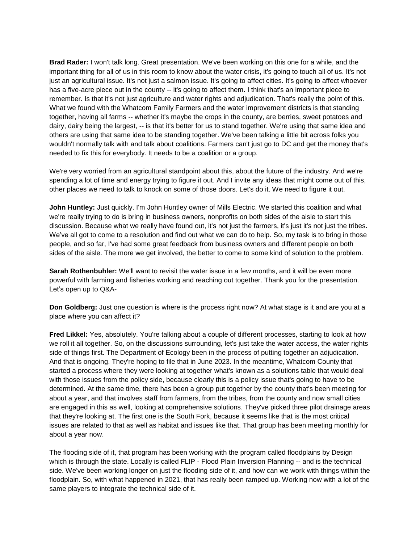**Brad Rader:** I won't talk long. Great presentation. We've been working on this one for a while, and the important thing for all of us in this room to know about the water crisis, it's going to touch all of us. It's not just an agricultural issue. It's not just a salmon issue. It's going to affect cities. It's going to affect whoever has a five-acre piece out in the county -- it's going to affect them. I think that's an important piece to remember. Is that it's not just agriculture and water rights and adjudication. That's really the point of this. What we found with the Whatcom Family Farmers and the water improvement districts is that standing together, having all farms -- whether it's maybe the crops in the county, are berries, sweet potatoes and dairy, dairy being the largest, -- is that it's better for us to stand together. We're using that same idea and others are using that same idea to be standing together. We've been talking a little bit across folks you wouldn't normally talk with and talk about coalitions. Farmers can't just go to DC and get the money that's needed to fix this for everybody. It needs to be a coalition or a group.

We're very worried from an agricultural standpoint about this, about the future of the industry. And we're spending a lot of time and energy trying to figure it out. And I invite any ideas that might come out of this, other places we need to talk to knock on some of those doors. Let's do it. We need to figure it out.

**John Huntley:** Just quickly. I'm John Huntley owner of Mills Electric. We started this coalition and what we're really trying to do is bring in business owners, nonprofits on both sides of the aisle to start this discussion. Because what we really have found out, it's not just the farmers, it's just it's not just the tribes. We've all got to come to a resolution and find out what we can do to help. So, my task is to bring in those people, and so far, I've had some great feedback from business owners and different people on both sides of the aisle. The more we get involved, the better to come to some kind of solution to the problem.

**Sarah Rothenbuhler:** We'll want to revisit the water issue in a few months, and it will be even more powerful with farming and fisheries working and reaching out together. Thank you for the presentation. Let's open up to Q&A-

**Don Goldberg:** Just one question is where is the process right now? At what stage is it and are you at a place where you can affect it?

**Fred Likkel:** Yes, absolutely. You're talking about a couple of different processes, starting to look at how we roll it all together. So, on the discussions surrounding, let's just take the water access, the water rights side of things first. The Department of Ecology been in the process of putting together an adjudication. And that is ongoing. They're hoping to file that in June 2023. In the meantime, Whatcom County that started a process where they were looking at together what's known as a solutions table that would deal with those issues from the policy side, because clearly this is a policy issue that's going to have to be determined. At the same time, there has been a group put together by the county that's been meeting for about a year, and that involves staff from farmers, from the tribes, from the county and now small cities are engaged in this as well, looking at comprehensive solutions. They've picked three pilot drainage areas that they're looking at. The first one is the South Fork, because it seems like that is the most critical issues are related to that as well as habitat and issues like that. That group has been meeting monthly for about a year now.

The flooding side of it, that program has been working with the program called floodplains by Design which is through the state. Locally is called FLIP - Flood Plain Inversion Planning -- and is the technical side. We've been working longer on just the flooding side of it, and how can we work with things within the floodplain. So, with what happened in 2021, that has really been ramped up. Working now with a lot of the same players to integrate the technical side of it.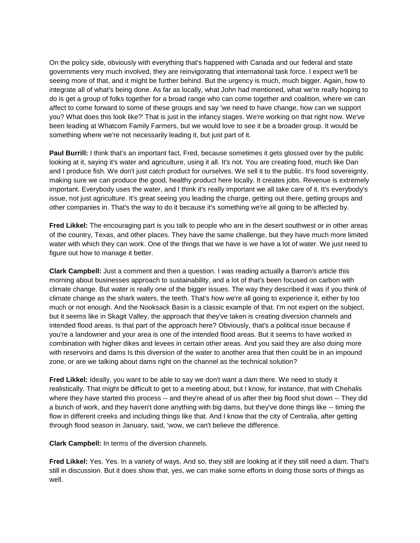On the policy side, obviously with everything that's happened with Canada and our federal and state governments very much involved, they are reinvigorating that international task force. I expect we'll be seeing more of that, and it might be further behind. But the urgency is much, much bigger. Again, how to integrate all of what's being done. As far as locally, what John had mentioned, what we're really hoping to do is get a group of folks together for a broad range who can come together and coalition, where we can affect to come forward to some of these groups and say 'we need to have change, how can we support you? What does this look like?' That is just in the infancy stages. We're working on that right now. We've been leading at Whatcom Family Farmers, but we would love to see it be a broader group. It would be something where we're not necessarily leading it, but just part of it.

**Paul Burrill:** I think that's an important fact, Fred, because sometimes it gets glossed over by the public looking at it, saying it's water and agriculture, using it all. It's not. You are creating food, much like Dan and I produce fish. We don't just catch product for ourselves. We sell it to the public. It's food sovereignty, making sure we can produce the good, healthy product here locally. It creates jobs. Revenue is extremely important. Everybody uses the water, and I think it's really important we all take care of it. It's everybody's issue, not just agriculture. It's great seeing you leading the charge, getting out there, getting groups and other companies in. That's the way to do it because it's something we're all going to be affected by.

**Fred Likkel:** The encouraging part is you talk to people who are in the desert southwest or in other areas of the country, Texas, and other places. They have the same challenge, but they have much more limited water with which they can work. One of the things that we have is we have a lot of water. We just need to figure out how to manage it better.

**Clark Campbell:** Just a comment and then a question. I was reading actually a Barron's article this morning about businesses approach to sustainability, and a lot of that's been focused on carbon with climate change. But water is really one of the bigger issues. The way they described it was if you think of climate change as the shark waters, the teeth. That's how we're all going to experience it, either by too much or not enough. And the Nooksack Basin is a classic example of that. I'm not expert on the subject, but it seems like in Skagit Valley, the approach that they've taken is creating diversion channels and intended flood areas. Is that part of the approach here? Obviously, that's a political issue because if you're a landowner and your area is one of the intended flood areas. But it seems to have worked in combination with higher dikes and levees in certain other areas. And you said they are also doing more with reservoirs and dams Is this diversion of the water to another area that then could be in an impound zone, or are we talking about dams right on the channel as the technical solution?

**Fred Likkel:** Ideally, you want to be able to say we don't want a dam there. We need to study it realistically. That might be difficult to get to a meeting about, but I know, for instance, that with Chehalis where they have started this process -- and they're ahead of us after their big flood shut down -- They did a bunch of work, and they haven't done anything with big dams, but they've done things like -- timing the flow in different creeks and including things like that. And I know that the city of Centralia, after getting through flood season in January, said, 'wow, we can't believe the difference.

**Clark Campbell:** In terms of the diversion channels.

**Fred Likkel:** Yes. Yes. In a variety of ways. And so, they still are looking at if they still need a dam. That's still in discussion. But it does show that, yes, we can make some efforts in doing those sorts of things as well.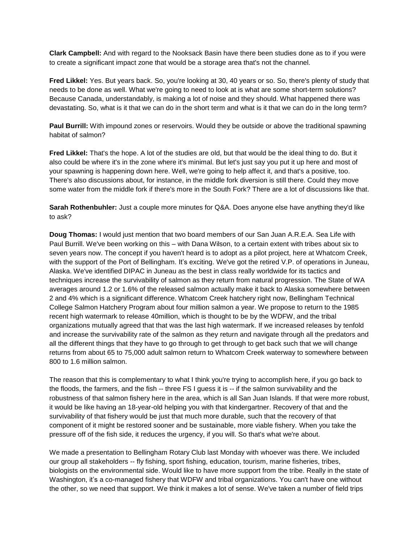**Clark Campbell:** And with regard to the Nooksack Basin have there been studies done as to if you were to create a significant impact zone that would be a storage area that's not the channel.

**Fred Likkel:** Yes. But years back. So, you're looking at 30, 40 years or so. So, there's plenty of study that needs to be done as well. What we're going to need to look at is what are some short-term solutions? Because Canada, understandably, is making a lot of noise and they should. What happened there was devastating. So, what is it that we can do in the short term and what is it that we can do in the long term?

**Paul Burrill:** With impound zones or reservoirs. Would they be outside or above the traditional spawning habitat of salmon?

**Fred Likkel:** That's the hope. A lot of the studies are old, but that would be the ideal thing to do. But it also could be where it's in the zone where it's minimal. But let's just say you put it up here and most of your spawning is happening down here. Well, we're going to help affect it, and that's a positive, too. There's also discussions about, for instance, in the middle fork diversion is still there. Could they move some water from the middle fork if there's more in the South Fork? There are a lot of discussions like that.

**Sarah Rothenbuhler:** Just a couple more minutes for Q&A. Does anyone else have anything they'd like to ask?

**Doug Thomas:** I would just mention that two board members of our San Juan A.R.E.A. Sea Life with Paul Burrill. We've been working on this – with Dana Wilson, to a certain extent with tribes about six to seven years now. The concept if you haven't heard is to adopt as a pilot project, here at Whatcom Creek, with the support of the Port of Bellingham. It's exciting. We've got the retired V.P. of operations in Juneau, Alaska. We've identified DIPAC in Juneau as the best in class really worldwide for its tactics and techniques increase the survivability of salmon as they return from natural progression. The State of WA averages around 1.2 or 1.6% of the released salmon actually make it back to Alaska somewhere between 2 and 4% which is a significant difference. Whatcom Creek hatchery right now, Bellingham Technical College Salmon Hatchery Program about four million salmon a year. We propose to return to the 1985 recent high watermark to release 40million, which is thought to be by the WDFW, and the tribal organizations mutually agreed that that was the last high watermark. If we increased releases by tenfold and increase the survivability rate of the salmon as they return and navigate through all the predators and all the different things that they have to go through to get through to get back such that we will change returns from about 65 to 75,000 adult salmon return to Whatcom Creek waterway to somewhere between 800 to 1.6 million salmon.

The reason that this is complementary to what I think you're trying to accomplish here, if you go back to the floods, the farmers, and the fish -- three FS I guess it is -- if the salmon survivability and the robustness of that salmon fishery here in the area, which is all San Juan Islands. If that were more robust, it would be like having an 18-year-old helping you with that kindergartner. Recovery of that and the survivability of that fishery would be just that much more durable, such that the recovery of that component of it might be restored sooner and be sustainable, more viable fishery. When you take the pressure off of the fish side, it reduces the urgency, if you will. So that's what we're about.

We made a presentation to Bellingham Rotary Club last Monday with whoever was there. We included our group all stakeholders -- fly fishing, sport fishing, education, tourism, marine fisheries, tribes, biologists on the environmental side. Would like to have more support from the tribe. Really in the state of Washington, it's a co-managed fishery that WDFW and tribal organizations. You can't have one without the other, so we need that support. We think it makes a lot of sense. We've taken a number of field trips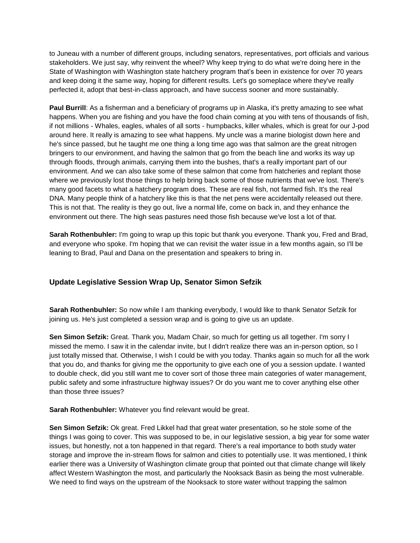to Juneau with a number of different groups, including senators, representatives, port officials and various stakeholders. We just say, why reinvent the wheel? Why keep trying to do what we're doing here in the State of Washington with Washington state hatchery program that's been in existence for over 70 years and keep doing it the same way, hoping for different results. Let's go someplace where they've really perfected it, adopt that best-in-class approach, and have success sooner and more sustainably.

Paul Burrill: As a fisherman and a beneficiary of programs up in Alaska, it's pretty amazing to see what happens. When you are fishing and you have the food chain coming at you with tens of thousands of fish, if not millions - Whales, eagles, whales of all sorts - humpbacks, killer whales, which is great for our J-pod around here. It really is amazing to see what happens. My uncle was a marine biologist down here and he's since passed, but he taught me one thing a long time ago was that salmon are the great nitrogen bringers to our environment, and having the salmon that go from the beach line and works its way up through floods, through animals, carrying them into the bushes, that's a really important part of our environment. And we can also take some of these salmon that come from hatcheries and replant those where we previously lost those things to help bring back some of those nutrients that we've lost. There's many good facets to what a hatchery program does. These are real fish, not farmed fish. It's the real DNA. Many people think of a hatchery like this is that the net pens were accidentally released out there. This is not that. The reality is they go out, live a normal life, come on back in, and they enhance the environment out there. The high seas pastures need those fish because we've lost a lot of that.

**Sarah Rothenbuhler:** I'm going to wrap up this topic but thank you everyone. Thank you, Fred and Brad, and everyone who spoke. I'm hoping that we can revisit the water issue in a few months again, so I'll be leaning to Brad, Paul and Dana on the presentation and speakers to bring in.

# **Update Legislative Session Wrap Up, Senator Simon Sefzik**

**Sarah Rothenbuhler:** So now while I am thanking everybody, I would like to thank Senator Sefzik for joining us. He's just completed a session wrap and is going to give us an update.

**Sen Simon Sefzik:** Great. Thank you, Madam Chair, so much for getting us all together. I'm sorry I missed the memo. I saw it in the calendar invite, but I didn't realize there was an in-person option, so I just totally missed that. Otherwise, I wish I could be with you today. Thanks again so much for all the work that you do, and thanks for giving me the opportunity to give each one of you a session update. I wanted to double check, did you still want me to cover sort of those three main categories of water management, public safety and some infrastructure highway issues? Or do you want me to cover anything else other than those three issues?

**Sarah Rothenbuhler:** Whatever you find relevant would be great.

**Sen Simon Sefzik:** Ok great. Fred Likkel had that great water presentation, so he stole some of the things I was going to cover. This was supposed to be, in our legislative session, a big year for some water issues, but honestly, not a ton happened in that regard. There's a real importance to both study water storage and improve the in-stream flows for salmon and cities to potentially use. It was mentioned, I think earlier there was a University of Washington climate group that pointed out that climate change will likely affect Western Washington the most, and particularly the Nooksack Basin as being the most vulnerable. We need to find ways on the upstream of the Nooksack to store water without trapping the salmon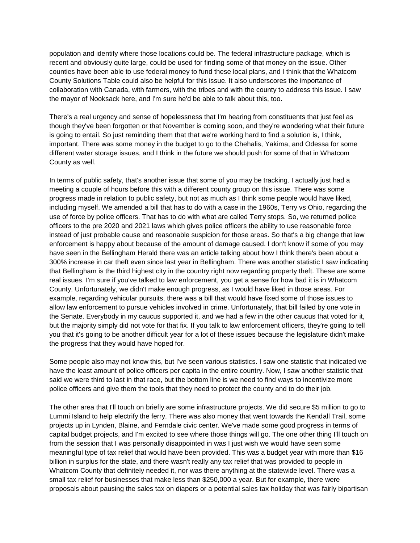population and identify where those locations could be. The federal infrastructure package, which is recent and obviously quite large, could be used for finding some of that money on the issue. Other counties have been able to use federal money to fund these local plans, and I think that the Whatcom County Solutions Table could also be helpful for this issue. It also underscores the importance of collaboration with Canada, with farmers, with the tribes and with the county to address this issue. I saw the mayor of Nooksack here, and I'm sure he'd be able to talk about this, too.

There's a real urgency and sense of hopelessness that I'm hearing from constituents that just feel as though they've been forgotten or that November is coming soon, and they're wondering what their future is going to entail. So just reminding them that that we're working hard to find a solution is, I think, important. There was some money in the budget to go to the Chehalis, Yakima, and Odessa for some different water storage issues, and I think in the future we should push for some of that in Whatcom County as well.

In terms of public safety, that's another issue that some of you may be tracking. I actually just had a meeting a couple of hours before this with a different county group on this issue. There was some progress made in relation to public safety, but not as much as I think some people would have liked, including myself. We amended a bill that has to do with a case in the 1960s, Terry vs Ohio, regarding the use of force by police officers. That has to do with what are called Terry stops. So, we returned police officers to the pre 2020 and 2021 laws which gives police officers the ability to use reasonable force instead of just probable cause and reasonable suspicion for those areas. So that's a big change that law enforcement is happy about because of the amount of damage caused. I don't know if some of you may have seen in the Bellingham Herald there was an article talking about how I think there's been about a 300% increase in car theft even since last year in Bellingham. There was another statistic I saw indicating that Bellingham is the third highest city in the country right now regarding property theft. These are some real issues. I'm sure if you've talked to law enforcement, you get a sense for how bad it is in Whatcom County. Unfortunately, we didn't make enough progress, as I would have liked in those areas. For example, regarding vehicular pursuits, there was a bill that would have fixed some of those issues to allow law enforcement to pursue vehicles involved in crime. Unfortunately, that bill failed by one vote in the Senate. Everybody in my caucus supported it, and we had a few in the other caucus that voted for it, but the majority simply did not vote for that fix. If you talk to law enforcement officers, they're going to tell you that it's going to be another difficult year for a lot of these issues because the legislature didn't make the progress that they would have hoped for.

Some people also may not know this, but I've seen various statistics. I saw one statistic that indicated we have the least amount of police officers per capita in the entire country. Now, I saw another statistic that said we were third to last in that race, but the bottom line is we need to find ways to incentivize more police officers and give them the tools that they need to protect the county and to do their job.

The other area that I'll touch on briefly are some infrastructure projects. We did secure \$5 million to go to Lummi Island to help electrify the ferry. There was also money that went towards the Kendall Trail, some projects up in Lynden, Blaine, and Ferndale civic center. We've made some good progress in terms of capital budget projects, and I'm excited to see where those things will go. The one other thing I'll touch on from the session that I was personally disappointed in was I just wish we would have seen some meaningful type of tax relief that would have been provided. This was a budget year with more than \$16 billion in surplus for the state, and there wasn't really any tax relief that was provided to people in Whatcom County that definitely needed it, nor was there anything at the statewide level. There was a small tax relief for businesses that make less than \$250,000 a year. But for example, there were proposals about pausing the sales tax on diapers or a potential sales tax holiday that was fairly bipartisan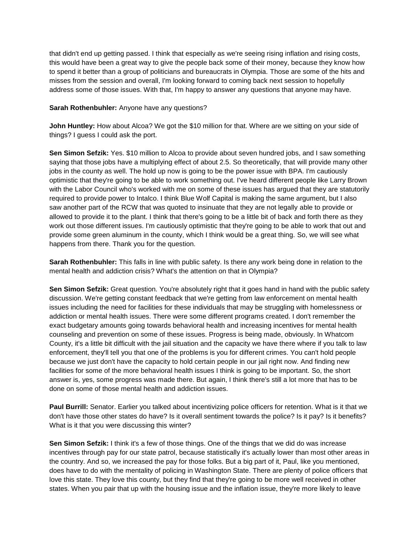that didn't end up getting passed. I think that especially as we're seeing rising inflation and rising costs, this would have been a great way to give the people back some of their money, because they know how to spend it better than a group of politicians and bureaucrats in Olympia. Those are some of the hits and misses from the session and overall, I'm looking forward to coming back next session to hopefully address some of those issues. With that, I'm happy to answer any questions that anyone may have.

## **Sarah Rothenbuhler:** Anyone have any questions?

**John Huntley:** How about Alcoa? We got the \$10 million for that. Where are we sitting on your side of things? I guess I could ask the port.

**Sen Simon Sefzik:** Yes. \$10 million to Alcoa to provide about seven hundred jobs, and I saw something saying that those jobs have a multiplying effect of about 2.5. So theoretically, that will provide many other jobs in the county as well. The hold up now is going to be the power issue with BPA. I'm cautiously optimistic that they're going to be able to work something out. I've heard different people like Larry Brown with the Labor Council who's worked with me on some of these issues has argued that they are statutorily required to provide power to Intalco. I think Blue Wolf Capital is making the same argument, but I also saw another part of the RCW that was quoted to insinuate that they are not legally able to provide or allowed to provide it to the plant. I think that there's going to be a little bit of back and forth there as they work out those different issues. I'm cautiously optimistic that they're going to be able to work that out and provide some green aluminum in the county, which I think would be a great thing. So, we will see what happens from there. Thank you for the question.

**Sarah Rothenbuhler:** This falls in line with public safety. Is there any work being done in relation to the mental health and addiction crisis? What's the attention on that in Olympia?

**Sen Simon Sefzik:** Great question. You're absolutely right that it goes hand in hand with the public safety discussion. We're getting constant feedback that we're getting from law enforcement on mental health issues including the need for facilities for these individuals that may be struggling with homelessness or addiction or mental health issues. There were some different programs created. I don't remember the exact budgetary amounts going towards behavioral health and increasing incentives for mental health counseling and prevention on some of these issues. Progress is being made, obviously. In Whatcom County, it's a little bit difficult with the jail situation and the capacity we have there where if you talk to law enforcement, they'll tell you that one of the problems is you for different crimes. You can't hold people because we just don't have the capacity to hold certain people in our jail right now. And finding new facilities for some of the more behavioral health issues I think is going to be important. So, the short answer is, yes, some progress was made there. But again, I think there's still a lot more that has to be done on some of those mental health and addiction issues.

**Paul Burrill:** Senator. Earlier you talked about incentivizing police officers for retention. What is it that we don't have those other states do have? Is it overall sentiment towards the police? Is it pay? Is it benefits? What is it that you were discussing this winter?

**Sen Simon Sefzik:** I think it's a few of those things. One of the things that we did do was increase incentives through pay for our state patrol, because statistically it's actually lower than most other areas in the country. And so, we increased the pay for those folks. But a big part of it, Paul, like you mentioned, does have to do with the mentality of policing in Washington State. There are plenty of police officers that love this state. They love this county, but they find that they're going to be more well received in other states. When you pair that up with the housing issue and the inflation issue, they're more likely to leave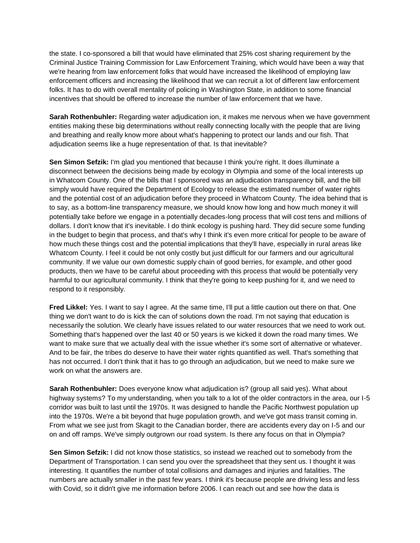the state. I co-sponsored a bill that would have eliminated that 25% cost sharing requirement by the Criminal Justice Training Commission for Law Enforcement Training, which would have been a way that we're hearing from law enforcement folks that would have increased the likelihood of employing law enforcement officers and increasing the likelihood that we can recruit a lot of different law enforcement folks. It has to do with overall mentality of policing in Washington State, in addition to some financial incentives that should be offered to increase the number of law enforcement that we have.

**Sarah Rothenbuhler:** Regarding water adjudication ion, it makes me nervous when we have government entities making these big determinations without really connecting locally with the people that are living and breathing and really know more about what's happening to protect our lands and our fish. That adjudication seems like a huge representation of that. Is that inevitable?

**Sen Simon Sefzik:** I'm glad you mentioned that because I think you're right. It does illuminate a disconnect between the decisions being made by ecology in Olympia and some of the local interests up in Whatcom County. One of the bills that I sponsored was an adjudication transparency bill, and the bill simply would have required the Department of Ecology to release the estimated number of water rights and the potential cost of an adjudication before they proceed in Whatcom County. The idea behind that is to say, as a bottom-line transparency measure, we should know how long and how much money it will potentially take before we engage in a potentially decades-long process that will cost tens and millions of dollars. I don't know that it's inevitable. I do think ecology is pushing hard. They did secure some funding in the budget to begin that process, and that's why I think it's even more critical for people to be aware of how much these things cost and the potential implications that they'll have, especially in rural areas like Whatcom County. I feel it could be not only costly but just difficult for our farmers and our agricultural community. If we value our own domestic supply chain of good berries, for example, and other good products, then we have to be careful about proceeding with this process that would be potentially very harmful to our agricultural community. I think that they're going to keep pushing for it, and we need to respond to it responsibly.

**Fred Likkel:** Yes. I want to say I agree. At the same time, I'll put a little caution out there on that. One thing we don't want to do is kick the can of solutions down the road. I'm not saying that education is necessarily the solution. We clearly have issues related to our water resources that we need to work out. Something that's happened over the last 40 or 50 years is we kicked it down the road many times. We want to make sure that we actually deal with the issue whether it's some sort of alternative or whatever. And to be fair, the tribes do deserve to have their water rights quantified as well. That's something that has not occurred. I don't think that it has to go through an adjudication, but we need to make sure we work on what the answers are.

**Sarah Rothenbuhler:** Does everyone know what adjudication is? (group all said yes). What about highway systems? To my understanding, when you talk to a lot of the older contractors in the area, our I-5 corridor was built to last until the 1970s. It was designed to handle the Pacific Northwest population up into the 1970s. We're a bit beyond that huge population growth, and we've got mass transit coming in. From what we see just from Skagit to the Canadian border, there are accidents every day on I-5 and our on and off ramps. We've simply outgrown our road system. Is there any focus on that in Olympia?

**Sen Simon Sefzik:** I did not know those statistics, so instead we reached out to somebody from the Department of Transportation. I can send you over the spreadsheet that they sent us. I thought it was interesting. It quantifies the number of total collisions and damages and injuries and fatalities. The numbers are actually smaller in the past few years. I think it's because people are driving less and less with Covid, so it didn't give me information before 2006. I can reach out and see how the data is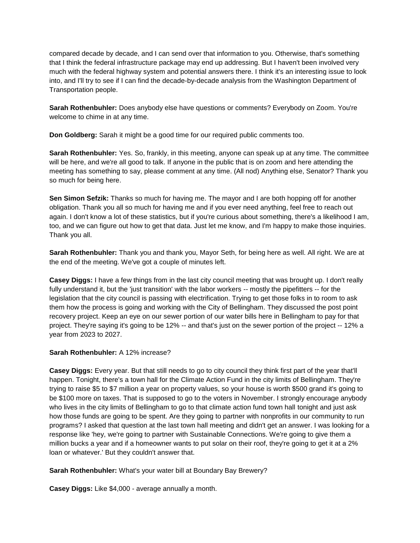compared decade by decade, and I can send over that information to you. Otherwise, that's something that I think the federal infrastructure package may end up addressing. But I haven't been involved very much with the federal highway system and potential answers there. I think it's an interesting issue to look into, and I'll try to see if I can find the decade-by-decade analysis from the Washington Department of Transportation people.

**Sarah Rothenbuhler:** Does anybody else have questions or comments? Everybody on Zoom. You're welcome to chime in at any time.

**Don Goldberg:** Sarah it might be a good time for our required public comments too.

**Sarah Rothenbuhler:** Yes. So, frankly, in this meeting, anyone can speak up at any time. The committee will be here, and we're all good to talk. If anyone in the public that is on zoom and here attending the meeting has something to say, please comment at any time. (All nod) Anything else, Senator? Thank you so much for being here.

**Sen Simon Sefzik:** Thanks so much for having me. The mayor and I are both hopping off for another obligation. Thank you all so much for having me and if you ever need anything, feel free to reach out again. I don't know a lot of these statistics, but if you're curious about something, there's a likelihood I am, too, and we can figure out how to get that data. Just let me know, and I'm happy to make those inquiries. Thank you all.

**Sarah Rothenbuhler:** Thank you and thank you, Mayor Seth, for being here as well. All right. We are at the end of the meeting. We've got a couple of minutes left.

**Casey Diggs:** I have a few things from in the last city council meeting that was brought up. I don't really fully understand it, but the 'just transition' with the labor workers -- mostly the pipefitters -- for the legislation that the city council is passing with electrification. Trying to get those folks in to room to ask them how the process is going and working with the City of Bellingham. They discussed the post point recovery project. Keep an eye on our sewer portion of our water bills here in Bellingham to pay for that project. They're saying it's going to be 12% -- and that's just on the sewer portion of the project -- 12% a year from 2023 to 2027.

## **Sarah Rothenbuhler:** A 12% increase?

**Casey Diggs:** Every year. But that still needs to go to city council they think first part of the year that'll happen. Tonight, there's a town hall for the Climate Action Fund in the city limits of Bellingham. They're trying to raise \$5 to \$7 million a year on property values, so your house is worth \$500 grand it's going to be \$100 more on taxes. That is supposed to go to the voters in November. I strongly encourage anybody who lives in the city limits of Bellingham to go to that climate action fund town hall tonight and just ask how those funds are going to be spent. Are they going to partner with nonprofits in our community to run programs? I asked that question at the last town hall meeting and didn't get an answer. I was looking for a response like 'hey, we're going to partner with Sustainable Connections. We're going to give them a million bucks a year and if a homeowner wants to put solar on their roof, they're going to get it at a 2% loan or whatever.' But they couldn't answer that.

**Sarah Rothenbuhler:** What's your water bill at Boundary Bay Brewery?

**Casey Diggs:** Like \$4,000 - average annually a month.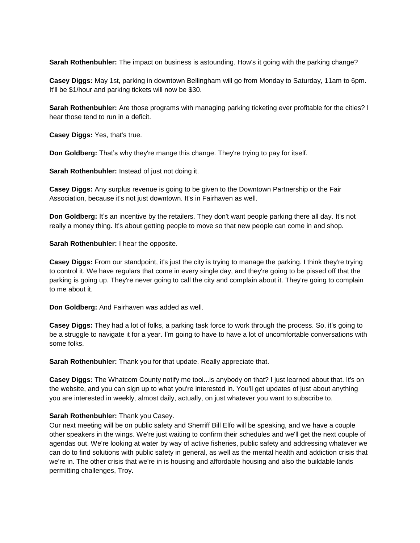**Sarah Rothenbuhler:** The impact on business is astounding. How's it going with the parking change?

**Casey Diggs:** May 1st, parking in downtown Bellingham will go from Monday to Saturday, 11am to 6pm. It'll be \$1/hour and parking tickets will now be \$30.

**Sarah Rothenbuhler:** Are those programs with managing parking ticketing ever profitable for the cities? I hear those tend to run in a deficit.

**Casey Diggs:** Yes, that's true.

**Don Goldberg:** That's why they're mange this change. They're trying to pay for itself.

**Sarah Rothenbuhler:** Instead of just not doing it.

**Casey Diggs:** Any surplus revenue is going to be given to the Downtown Partnership or the Fair Association, because it's not just downtown. It's in Fairhaven as well.

**Don Goldberg:** It's an incentive by the retailers. They don't want people parking there all day. It's not really a money thing. It's about getting people to move so that new people can come in and shop.

**Sarah Rothenbuhler:** I hear the opposite.

**Casey Diggs:** From our standpoint, it's just the city is trying to manage the parking. I think they're trying to control it. We have regulars that come in every single day, and they're going to be pissed off that the parking is going up. They're never going to call the city and complain about it. They're going to complain to me about it.

**Don Goldberg:** And Fairhaven was added as well.

**Casey Diggs:** They had a lot of folks, a parking task force to work through the process. So, it's going to be a struggle to navigate it for a year. I'm going to have to have a lot of uncomfortable conversations with some folks.

**Sarah Rothenbuhler:** Thank you for that update. Really appreciate that.

**Casey Diggs:** The Whatcom County notify me tool...is anybody on that? I just learned about that. It's on the website, and you can sign up to what you're interested in. You'll get updates of just about anything you are interested in weekly, almost daily, actually, on just whatever you want to subscribe to.

# **Sarah Rothenbuhler:** Thank you Casey.

Our next meeting will be on public safety and Sherriff Bill Elfo will be speaking, and we have a couple other speakers in the wings. We're just waiting to confirm their schedules and we'll get the next couple of agendas out. We're looking at water by way of active fisheries, public safety and addressing whatever we can do to find solutions with public safety in general, as well as the mental health and addiction crisis that we're in. The other crisis that we're in is housing and affordable housing and also the buildable lands permitting challenges, Troy.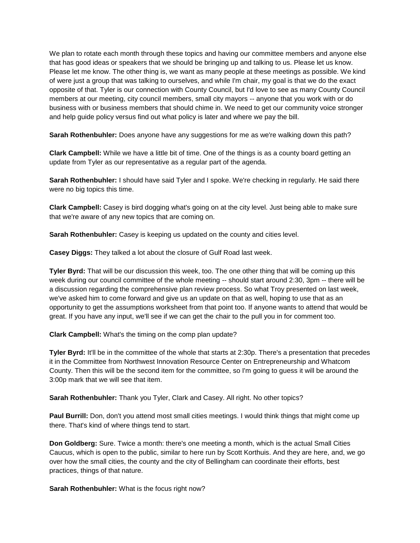We plan to rotate each month through these topics and having our committee members and anyone else that has good ideas or speakers that we should be bringing up and talking to us. Please let us know. Please let me know. The other thing is, we want as many people at these meetings as possible. We kind of were just a group that was talking to ourselves, and while I'm chair, my goal is that we do the exact opposite of that. Tyler is our connection with County Council, but I'd love to see as many County Council members at our meeting, city council members, small city mayors -- anyone that you work with or do business with or business members that should chime in. We need to get our community voice stronger and help guide policy versus find out what policy is later and where we pay the bill.

**Sarah Rothenbuhler:** Does anyone have any suggestions for me as we're walking down this path?

**Clark Campbell:** While we have a little bit of time. One of the things is as a county board getting an update from Tyler as our representative as a regular part of the agenda.

**Sarah Rothenbuhler:** I should have said Tyler and I spoke. We're checking in regularly. He said there were no big topics this time.

**Clark Campbell:** Casey is bird dogging what's going on at the city level. Just being able to make sure that we're aware of any new topics that are coming on.

**Sarah Rothenbuhler:** Casey is keeping us updated on the county and cities level.

**Casey Diggs:** They talked a lot about the closure of Gulf Road last week.

**Tyler Byrd:** That will be our discussion this week, too. The one other thing that will be coming up this week during our council committee of the whole meeting -- should start around 2:30, 3pm -- there will be a discussion regarding the comprehensive plan review process. So what Troy presented on last week, we've asked him to come forward and give us an update on that as well, hoping to use that as an opportunity to get the assumptions worksheet from that point too. If anyone wants to attend that would be great. If you have any input, we'll see if we can get the chair to the pull you in for comment too.

**Clark Campbell:** What's the timing on the comp plan update?

**Tyler Byrd:** It'll be in the committee of the whole that starts at 2:30p. There's a presentation that precedes it in the Committee from Northwest Innovation Resource Center on Entrepreneurship and Whatcom County. Then this will be the second item for the committee, so I'm going to guess it will be around the 3:00p mark that we will see that item.

**Sarah Rothenbuhler:** Thank you Tyler, Clark and Casey. All right. No other topics?

**Paul Burrill:** Don, don't you attend most small cities meetings. I would think things that might come up there. That's kind of where things tend to start.

**Don Goldberg:** Sure. Twice a month: there's one meeting a month, which is the actual Small Cities Caucus, which is open to the public, similar to here run by Scott Korthuis. And they are here, and, we go over how the small cities, the county and the city of Bellingham can coordinate their efforts, best practices, things of that nature.

**Sarah Rothenbuhler:** What is the focus right now?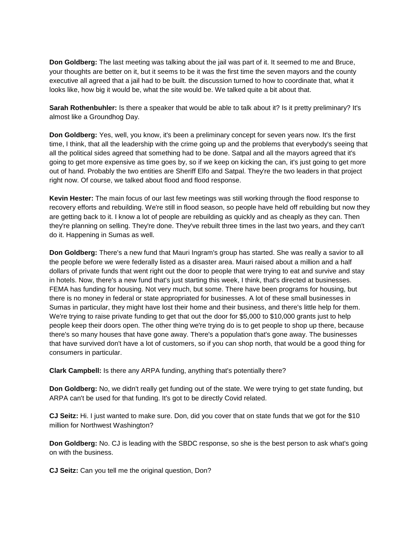**Don Goldberg:** The last meeting was talking about the jail was part of it. It seemed to me and Bruce, your thoughts are better on it, but it seems to be it was the first time the seven mayors and the county executive all agreed that a jail had to be built. the discussion turned to how to coordinate that, what it looks like, how big it would be, what the site would be. We talked quite a bit about that.

**Sarah Rothenbuhler:** Is there a speaker that would be able to talk about it? Is it pretty preliminary? It's almost like a Groundhog Day.

**Don Goldberg:** Yes, well, you know, it's been a preliminary concept for seven years now. It's the first time, I think, that all the leadership with the crime going up and the problems that everybody's seeing that all the political sides agreed that something had to be done. Satpal and all the mayors agreed that it's going to get more expensive as time goes by, so if we keep on kicking the can, it's just going to get more out of hand. Probably the two entities are Sheriff Elfo and Satpal. They're the two leaders in that project right now. Of course, we talked about flood and flood response.

**Kevin Hester:** The main focus of our last few meetings was still working through the flood response to recovery efforts and rebuilding. We're still in flood season, so people have held off rebuilding but now they are getting back to it. I know a lot of people are rebuilding as quickly and as cheaply as they can. Then they're planning on selling. They're done. They've rebuilt three times in the last two years, and they can't do it. Happening in Sumas as well.

**Don Goldberg:** There's a new fund that Mauri Ingram's group has started. She was really a savior to all the people before we were federally listed as a disaster area. Mauri raised about a million and a half dollars of private funds that went right out the door to people that were trying to eat and survive and stay in hotels. Now, there's a new fund that's just starting this week, I think, that's directed at businesses. FEMA has funding for housing. Not very much, but some. There have been programs for housing, but there is no money in federal or state appropriated for businesses. A lot of these small businesses in Sumas in particular, they might have lost their home and their business, and there's little help for them. We're trying to raise private funding to get that out the door for \$5,000 to \$10,000 grants just to help people keep their doors open. The other thing we're trying do is to get people to shop up there, because there's so many houses that have gone away. There's a population that's gone away. The businesses that have survived don't have a lot of customers, so if you can shop north, that would be a good thing for consumers in particular.

**Clark Campbell:** Is there any ARPA funding, anything that's potentially there?

**Don Goldberg:** No, we didn't really get funding out of the state. We were trying to get state funding, but ARPA can't be used for that funding. It's got to be directly Covid related.

**CJ Seitz:** Hi. I just wanted to make sure. Don, did you cover that on state funds that we got for the \$10 million for Northwest Washington?

**Don Goldberg:** No. CJ is leading with the SBDC response, so she is the best person to ask what's going on with the business.

**CJ Seitz:** Can you tell me the original question, Don?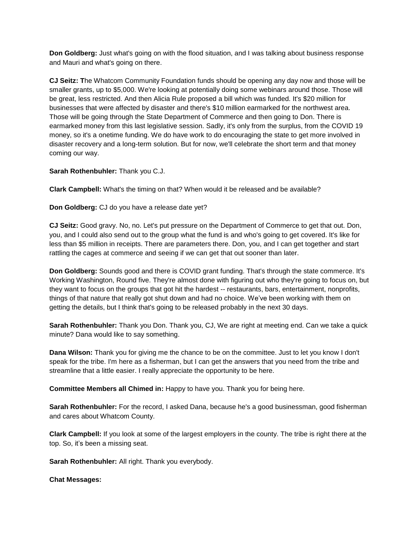**Don Goldberg:** Just what's going on with the flood situation, and I was talking about business response and Mauri and what's going on there.

**CJ Seitz: T**he Whatcom Community Foundation funds should be opening any day now and those will be smaller grants, up to \$5,000. We're looking at potentially doing some webinars around those. Those will be great, less restricted. And then Alicia Rule proposed a bill which was funded. It's \$20 million for businesses that were affected by disaster and there's \$10 million earmarked for the northwest area. Those will be going through the State Department of Commerce and then going to Don. There is earmarked money from this last legislative session. Sadly, it's only from the surplus, from the COVID 19 money, so it's a onetime funding. We do have work to do encouraging the state to get more involved in disaster recovery and a long-term solution. But for now, we'll celebrate the short term and that money coming our way.

**Sarah Rothenbuhler:** Thank you C.J.

**Clark Campbell:** What's the timing on that? When would it be released and be available?

**Don Goldberg:** CJ do you have a release date yet?

**CJ Seitz:** Good gravy. No, no. Let's put pressure on the Department of Commerce to get that out. Don, you, and I could also send out to the group what the fund is and who's going to get covered. It's like for less than \$5 million in receipts. There are parameters there. Don, you, and I can get together and start rattling the cages at commerce and seeing if we can get that out sooner than later.

**Don Goldberg:** Sounds good and there is COVID grant funding. That's through the state commerce. It's Working Washington, Round five. They're almost done with figuring out who they're going to focus on, but they want to focus on the groups that got hit the hardest -- restaurants, bars, entertainment, nonprofits, things of that nature that really got shut down and had no choice. We've been working with them on getting the details, but I think that's going to be released probably in the next 30 days.

**Sarah Rothenbuhler:** Thank you Don. Thank you, CJ, We are right at meeting end. Can we take a quick minute? Dana would like to say something.

**Dana Wilson:** Thank you for giving me the chance to be on the committee. Just to let you know I don't speak for the tribe. I'm here as a fisherman, but I can get the answers that you need from the tribe and streamline that a little easier. I really appreciate the opportunity to be here.

**Committee Members all Chimed in:** Happy to have you. Thank you for being here.

**Sarah Rothenbuhler:** For the record, I asked Dana, because he's a good businessman, good fisherman and cares about Whatcom County.

**Clark Campbell:** If you look at some of the largest employers in the county. The tribe is right there at the top. So, it's been a missing seat.

**Sarah Rothenbuhler:** All right. Thank you everybody.

**Chat Messages:**